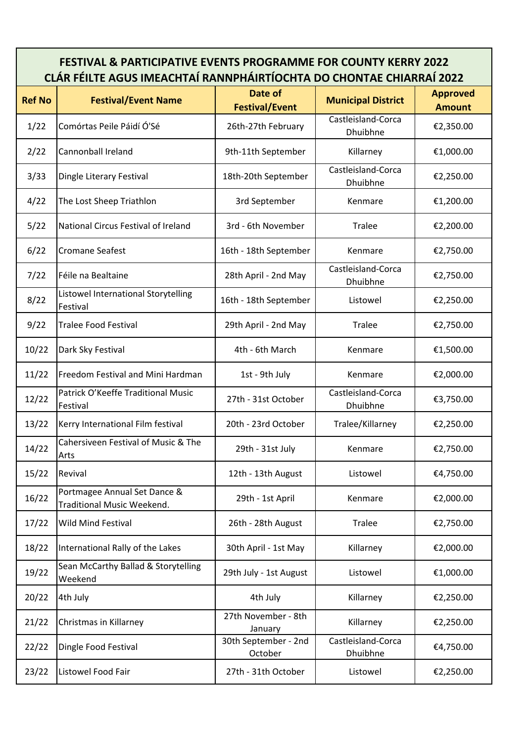## **FESTIVAL & PARTICIPATIVE EVENTS PROGRAMME FOR COUNTY KERRY 2022 CLÁR FÉILTE AGUS IMEACHTAÍ RANNPHÁIRTÍOCHTA DO CHONTAE CHIARRAÍ 2022**

| <b>Ref No</b> | <b>Festival/Event Name</b>                                 | Date of<br><b>Festival/Event</b> | <b>Municipal District</b>      | <b>Approved</b><br><b>Amount</b> |
|---------------|------------------------------------------------------------|----------------------------------|--------------------------------|----------------------------------|
| 1/22          | Comórtas Peile Páidí Ó'Sé                                  | 26th-27th February               | Castleisland-Corca<br>Dhuibhne | €2,350.00                        |
| 2/22          | Cannonball Ireland                                         | 9th-11th September               | Killarney                      | €1,000.00                        |
| 3/33          | Dingle Literary Festival                                   | 18th-20th September              | Castleisland-Corca<br>Dhuibhne | €2,250.00                        |
| 4/22          | The Lost Sheep Triathlon                                   | 3rd September                    | Kenmare                        | €1,200.00                        |
| 5/22          | National Circus Festival of Ireland                        | 3rd - 6th November               | <b>Tralee</b>                  | €2,200.00                        |
| 6/22          | <b>Cromane Seafest</b>                                     | 16th - 18th September            | Kenmare                        | €2,750.00                        |
| 7/22          | Féile na Bealtaine                                         | 28th April - 2nd May             | Castleisland-Corca<br>Dhuibhne | €2,750.00                        |
| 8/22          | Listowel International Storytelling<br>Festival            | 16th - 18th September            | Listowel                       | €2,250.00                        |
| 9/22          | <b>Tralee Food Festival</b>                                | 29th April - 2nd May             | <b>Tralee</b>                  | €2,750.00                        |
| 10/22         | Dark Sky Festival                                          | 4th - 6th March                  | Kenmare                        | €1,500.00                        |
| 11/22         | Freedom Festival and Mini Hardman                          | 1st - 9th July                   | Kenmare                        | €2,000.00                        |
| 12/22         | Patrick O'Keeffe Traditional Music<br>Festival             | 27th - 31st October              | Castleisland-Corca<br>Dhuibhne | €3,750.00                        |
| 13/22         | Kerry International Film festival                          | 20th - 23rd October              | Tralee/Killarney               | €2,250.00                        |
| 14/22         | Cahersiveen Festival of Music & The<br>Arts                | 29th - 31st July                 | Kenmare                        | €2,750.00                        |
| 15/22         | Revival                                                    | 12th - 13th August               | Listowel                       | €4,750.00                        |
| 16/22         | Portmagee Annual Set Dance &<br>Traditional Music Weekend. | 29th - 1st April                 | Kenmare                        | €2,000.00                        |
| 17/22         | <b>Wild Mind Festival</b>                                  | 26th - 28th August               | <b>Tralee</b>                  | €2,750.00                        |
| 18/22         | International Rally of the Lakes                           | 30th April - 1st May             | Killarney                      | €2,000.00                        |
| 19/22         | Sean McCarthy Ballad & Storytelling<br>Weekend             | 29th July - 1st August           | Listowel                       | €1,000.00                        |
| 20/22         | 4th July                                                   | 4th July                         | Killarney                      | €2,250.00                        |
| 21/22         | Christmas in Killarney                                     | 27th November - 8th<br>January   | Killarney                      | €2,250.00                        |
| 22/22         | Dingle Food Festival                                       | 30th September - 2nd<br>October  | Castleisland-Corca<br>Dhuibhne | €4,750.00                        |
| 23/22         | Listowel Food Fair                                         | 27th - 31th October              | Listowel                       | €2,250.00                        |